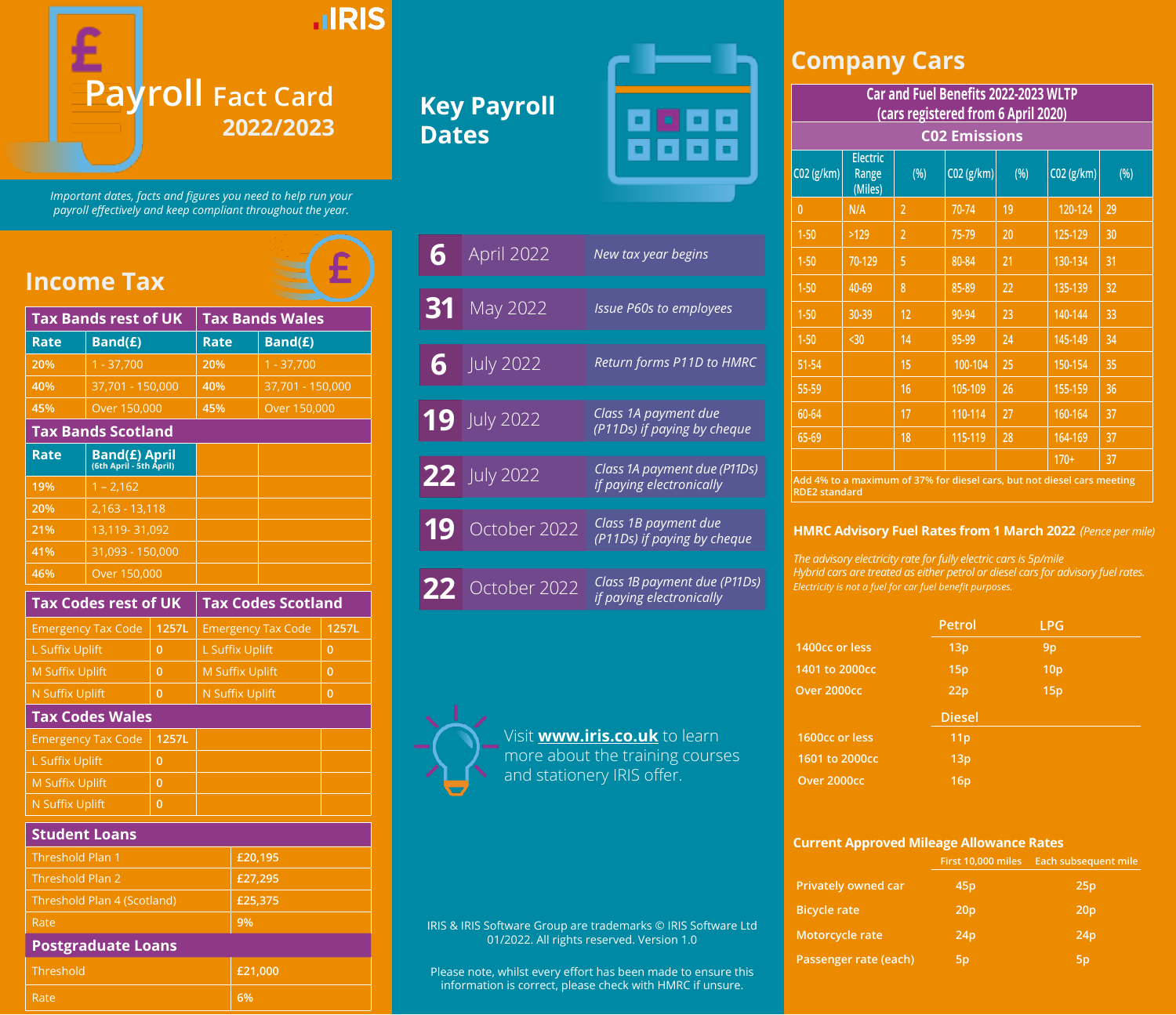

*Important dates, facts and figures you need to help run your payroll effectively and keep compliant throughout the year.*

## **Income Tax**

| Tax Bands rest of UK                                    |                             |                        | <b>Tax Bands Wales</b>    |                  |                |
|---------------------------------------------------------|-----------------------------|------------------------|---------------------------|------------------|----------------|
| Rate                                                    | Band(E)                     |                        | <b>Rate</b>               | Band(E)          |                |
| 20%                                                     | $1 - 37,700$                |                        | 20%                       | $1 - 37,700$     |                |
| 40%                                                     | 37,701 - 150,000            |                        | 40%                       | 37,701 - 150,000 |                |
| 45%                                                     | Over 150,000                |                        | 45%                       | Over 150,000     |                |
|                                                         | <b>Tax Bands Scotland</b>   |                        |                           |                  |                |
| <b>Band(£) April</b><br>(6th April - 5th April)<br>Rate |                             |                        |                           |                  |                |
| 19%                                                     | $1 - 2,162$                 |                        |                           |                  |                |
| 20%                                                     | 2,163 - 13,118              |                        |                           |                  |                |
| 21%                                                     | 13,119-31,092               |                        |                           |                  |                |
| 41%                                                     | 31,093 - 150,000            |                        |                           |                  |                |
| 46%                                                     | Over 150,000                |                        |                           |                  |                |
|                                                         | <b>Tax Codes rest of UK</b> |                        | <b>Tax Codes Scotland</b> |                  |                |
|                                                         | <b>Emergency Tax Code</b>   | 1257L                  | <b>Emergency Tax Code</b> |                  | 1257L          |
| <b>L Suffix Uplift</b>                                  |                             | $\overline{0}$         | <b>L Suffix Uplift</b>    |                  | $\overline{0}$ |
| <b>M Suffix Uplift</b><br>$\overline{0}$                |                             |                        | <b>M Suffix Uplift</b>    |                  | $\mathbf{0}$   |
| <b>N Suffix Uplift</b><br>$\overline{0}$                |                             | <b>N Suffix Uplift</b> |                           | $\mathbf{0}$     |                |
| <b>Tax Codes Wales</b>                                  |                             |                        |                           |                  |                |
| <b>Emergency Tax Code</b>                               |                             | 1257L                  |                           |                  |                |
| <b>L Suffix Uplift</b>                                  |                             | $\overline{0}$         |                           |                  |                |
| <b>M Suffix Uplift</b>                                  |                             | $\overline{0}$         |                           |                  |                |

#### **Student Loans**

N Suffix Uplift **0**

| Threshold Plan 1            | £20,195 |
|-----------------------------|---------|
| Threshold Plan 2            | £27,295 |
| Threshold Plan 4 (Scotland) | £25,375 |
| Rate                        | 9%      |
| <b>Postgraduate Loans</b>   |         |

| Threshold | £21,000 |
|-----------|---------|
| Rate      | 6%      |

# **Key Payroll Dates**



| 6  | April 2022          | New tax year begins                                      |
|----|---------------------|----------------------------------------------------------|
| 31 | May 2022            | <b>Issue P60s to employees</b>                           |
| 6  | <b>July 2022</b>    | Return forms P11D to HMRC                                |
|    | <b>19</b> July 2022 | Class 1A payment due<br>(P11Ds) if paying by cheque      |
|    | 22 July 2022        | Class 1A payment due (P11Ds)<br>if paying electronically |
| 19 | October 2022        | Class 1B payment due<br>(P11Ds) if paying by cheque      |
|    |                     |                                                          |
|    | 22 October 2022     | Class 1B payment due (P11Ds)<br>if paying electronically |



Visit **[www.iris.co.uk](http://www.iris.co.uk/insight/payroll-year-end-2016/)** to learn more about the training courses and stationery IRIS offer.

### **Company Cars**

|                      | Car and Fuel Benefits 2022-2023 WLTP<br>(cars registered from 6 April 2020) |                |                      |      |                                                                         |     |
|----------------------|-----------------------------------------------------------------------------|----------------|----------------------|------|-------------------------------------------------------------------------|-----|
|                      |                                                                             |                | <b>C02 Emissions</b> |      |                                                                         |     |
| C02 (g/km)           | <b>Electric</b><br>Range<br>(Miles)                                         | (% )           | CO2(g/km)            | (% ) | C02 (g/km)                                                              | (%) |
| $\overline{0}$       | N/A                                                                         | $\overline{2}$ | 70-74                | 19   | 120-124                                                                 | 29  |
| $1 - 50$             | >129                                                                        | $\overline{2}$ | 75-79                | 20   | 125-129                                                                 | 30  |
| $1 - 50$             | 70-129                                                                      | 5              | 80-84                | 21   | 130-134                                                                 | 31  |
| $1 - 50$             | 40-69                                                                       | 8              | 85-89                | 22   | 135-139                                                                 | 32  |
| $1 - 50$             | 30-39                                                                       | 12             | 90-94                | 23   | 140-144                                                                 | 33  |
| $1 - 50$             | $30$                                                                        | 14             | 95-99                | 24   | 145-149                                                                 | 34  |
| 51-54                |                                                                             | 15             | 100-104              | 25   | 150-154                                                                 | 35  |
| 55-59                |                                                                             | 16             | 105-109              | 26   | 155-159                                                                 | 36  |
| 60-64                |                                                                             | 17             | 110-114              | 27   | 160-164                                                                 | 37  |
| 65-69                |                                                                             | 18             | 115-119              | 28   | 164-169                                                                 | 37  |
|                      |                                                                             |                |                      |      | $170+$                                                                  | 37  |
| <b>RDE2 standard</b> |                                                                             |                |                      |      | Add 4% to a maximum of 37% for diesel cars, but not diesel cars meeting |     |

**HMRC Advisory Fuel Rates from 1 March 2022** *(Pence per mile)*

*The advisory electricity rate for fully electric cars is 5p/mile*

*Hybrid cars are treated as either petrol or diesel cars for advisory fuel rates. Electricity is not a fuel for car fuel benefit purposes.*

|                | Petrol          | <b>LPG</b>      |  |
|----------------|-----------------|-----------------|--|
| 1400cc or less | 13p             | 9 <sub>p</sub>  |  |
| 1401 to 2000cc | 15p             | 10 <sub>p</sub> |  |
| Over 2000cc    | 22p             | 15p             |  |
|                |                 |                 |  |
|                | <b>Diesel</b>   |                 |  |
| 1600cc or less | 11 <sub>p</sub> |                 |  |
| 1601 to 2000cc | 13p             |                 |  |

#### **Current Approved Mileage Allowance Rates**

|                            | First 10,000 miles | <b>Each subsequent mile</b> |
|----------------------------|--------------------|-----------------------------|
| <b>Privately owned car</b> | 45 <sub>p</sub>    | 25p                         |
| <b>Bicycle rate</b>        | 20 <sub>p</sub>    | 20 <sub>p</sub>             |
| Motorcycle rate            | 24p                | 24p                         |
| Passenger rate (each)      | 5 <sub>p</sub>     | 5 <sub>p</sub>              |

IRIS & IRIS Software Group are trademarks © IRIS Software Ltd 01/2022. All rights reserved. Version 1.0

Please note, whilst every effort has been made to ensure this information is correct, please check with HMRC if unsure.